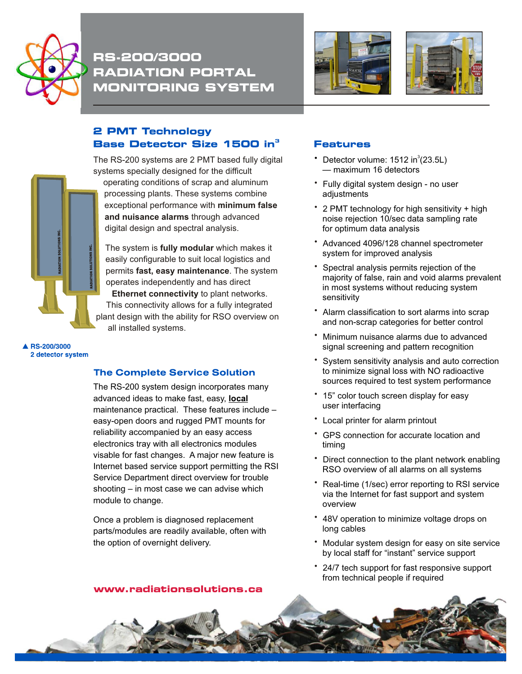

RS-200/3000 **RADIATION PORTAL MONITORING SYSTEM** 



## **2 PMT Technology** Base Detector Size 1500 in<sup>3</sup>

The RS-200 systems are 2 PMT based fully digital systems specially designed for the difficult

operating conditions of scrap and aluminum processing plants. These systems combine exceptional performance with **minimum false and nuisance alarms** through advanced digital design and spectral analysis.

The system is **fully modular** which makes it easily configurable to suit local logistics and permits **fast, easy maintenance**. The system operates independently and has direct **Ethernet connectivity** to plant networks. This connectivity allows for a fully integrated

plant design with the ability for RSO overview on all installed systems.

▲ RS-200/3000 2 detector system

## **The Complete Service Solution**

The RS-200 system design incorporates many advanced ideas to make fast, easy, **local**  maintenance practical. These features include – easy-open doors and rugged PMT mounts for reliability accompanied by an easy access electronics tray with all electronics modules visable for fast changes. A major new feature is Internet based service support permitting the RSI Service Department direct overview for trouble shooting – in most case we can advise which module to change.

Once a problem is diagnosed replacement parts/modules are readily available, often with the option of overnight delivery.

## **Features**

- Detector volume:  $1512$  in $^3$ (23.5L) — maximum 16 detectors
- \* Fully digital system design no user adjustments
- 2 PMT technology for high sensitivity + high noise rejection 10/sec data sampling rate for optimum data analysis
- Advanced 4096/128 channel spectrometer system for improved analysis •
- \* Spectral analysis permits rejection of the majority of false, rain and void alarms prevalent in most systems without reducing system sensitivity
- Alarm classification to sort alarms into scrap and non-scrap categories for better control
- Minimum nuisance alarms due to advanced signal screening and pattern recognition
- System sensitivity analysis and auto correction to minimize signal loss with NO radioactive sources required to test system performance
- \* 15" color touch screen display for easy user interfacing
- Local printer for alarm printout •
- GPS connection for accurate location and timing
- Direct connection to the plant network enabling RSO overview of all alarms on all systems •
- \* Real-time (1/sec) error reporting to RSI service via the Internet for fast support and system overview
- 48V operation to minimize voltage drops on long cables
- Modular system design for easy on site service by local staff for "instant" service support
- 24/7 tech support for fast responsive support •from technical people if required